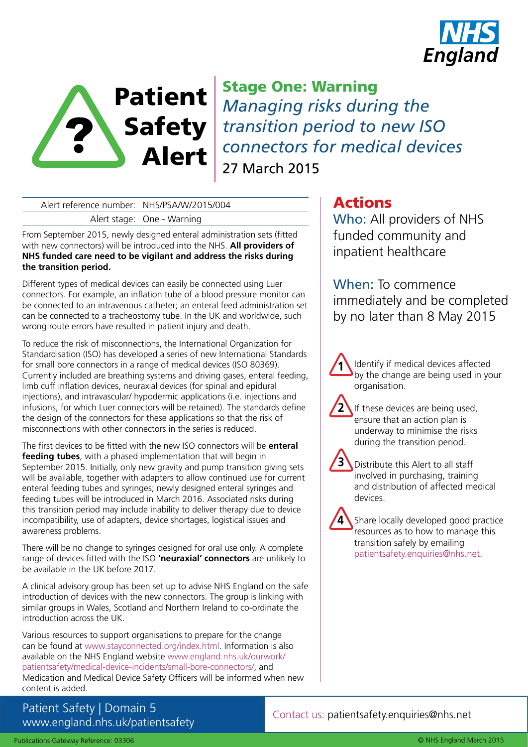



Stage One: Warning *Managing risks during the transition period to new ISO connectors for medical devices* 27 March 2015

# Alert reference number: NHS/PSA/W/2015/004

Alert stage: One - Warning

From September 2015, newly designed enteral administration sets (fitted with new connectors) will be introduced into the NHS. **All providers of NHS funded care need to be vigilant and address the risks during the transition period.** 

Different types of medical devices can easily be connected using Luer connectors. For example, an inflation tube of a blood pressure monitor can be connected to an intravenous catheter; an enteral feed administration set can be connected to a tracheostomy tube. In the UK and worldwide, such wrong route errors have resulted in patient injury and death.

To reduce the risk of misconnections, the International Organization for Standardisation (ISO) has developed a series of new International Standards for small bore connectors in a range of medical devices (ISO 80369). Currently included are breathing systems and driving gases, enteral feeding, limb cuff inflation devices, neuraxial devices (for spinal and epidural injections), and intravascular/ hypodermic applications (i.e. injections and infusions, for which Luer connectors will be retained). The standards define the design of the connectors for these applications so that the risk of misconnections with other connectors in the series is reduced.

The first devices to be fitted with the new ISO connectors will be **enteral feeding tubes**, with a phased implementation that will begin in September 2015. Initially, only new gravity and pump transition giving sets will be available, together with adapters to allow continued use for current enteral feeding tubes and syringes; newly designed enteral syringes and feeding tubes will be introduced in March 2016. Associated risks during this transition period may include inability to deliver therapy due to device incompatibility, use of adapters, device shortages, logistical issues and awareness problems.

There will be no change to syringes designed for oral use only. A complete range of devices fitted with the ISO **'neuraxial' connectors** are unlikely to be available in the UK before 2017.

A clinical advisory group has been set up to advise NHS England on the safe introduction of devices with the new connectors. The group is linking with similar groups in Wales, Scotland and Northern Ireland to co-ordinate the introduction across the UK.

Various resources to support organisations to prepare for the change can be found at www.stayconnected.org/index.html. Information is also available on the NHS England website [www.england.nhs.uk/ourwork/](http://www.england.nhs.uk/ourwork/patientsafety/medical-device-incidents/small-bore-connectors/) [patientsafety/medical-device-incidents/small-bore-connectors/](http://www.england.nhs.uk/ourwork/patientsafety/medical-device-incidents/small-bore-connectors/), and Medication and Medical Device Safety Officers will be informed when new content is added.

Patient Safety | Domain 5 www.england.nhs.uk/patientsafety

# Actions

Who: All providers of NHS funded community and inpatient healthcare

When: To commence immediately and be completed by no later than 8 May 2015

Identify if medical devices affected by the change are being used in your organisation. **1**

If these devices are being used, ensure that an action plan is underway to minimise the risks during the transition period. **2**

Distribute this Alert to all staff involved in purchasing, training and distribution of affected medical devices. **3**

Share locally developed good practice resources as to how to manage this transition safely by emailing patientsafety.enquiries@nhs.net.

Contact us: patientsafety.enquiries@nhs.net

**4**